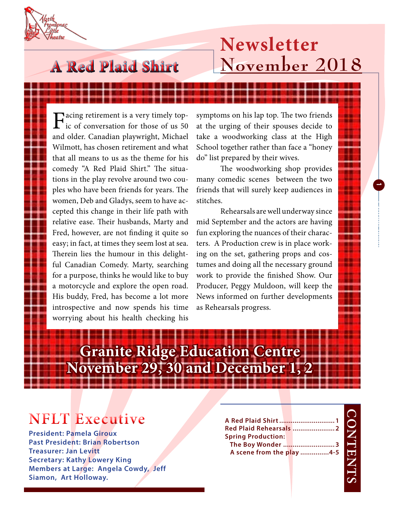## **A Red Plaid Shirt**

## **Newsletter November 2018**

Facing retirement is a very timely topic of conversation for those of us 50 and older. Canadian playwright, Michael Wilmott, has chosen retirement and what that all means to us as the theme for his comedy "A Red Plaid Shirt." The situations in the play revolve around two couples who have been friends for years. The women, Deb and Gladys, seem to have accepted this change in their life path with relative ease. Their husbands, Marty and Fred, however, are not finding it quite so easy; in fact, at times they seem lost at sea. Therein lies the humour in this delightful Canadian Comedy. Marty, searching for a purpose, thinks he would like to buy a motorcycle and explore the open road. His buddy, Fred, has become a lot more introspective and now spends his time worrying about his health checking his

symptoms on his lap top. The two friends at the urging of their spouses decide to take a woodworking class at the High School together rather than face a "honey do" list prepared by their wives.

The woodworking shop provides many comedic scenes between the two friends that will surely keep audiences in stitches.

**1**

**Laoreet 0000**

Rehearsals are well underway since mid September and the actors are having fun exploring the nuances of their characters. A Production crew is in place working on the set, gathering props and costumes and doing all the necessary ground work to provide the finished Show. Our Producer, Peggy Muldoon, will keep the News informed on further developments as Rehearsals progress.

# **Granite Ridge Education Centre November 29, 30 and December 1, 2**

### **NFLT Executive**

**President: Pamela Giroux Past President: Brian Robertson Treasurer: Jan Levitt Secretary: Kathy Lowery King Members at Large: Angela Cowdy, Jeff Siamon, Art Holloway.**

| Red Plaid Rehearsals  2   |  |  |
|---------------------------|--|--|
| <b>Spring Production:</b> |  |  |
| The Boy Wonder 3          |  |  |
| A scene from the play 4-5 |  |  |
|                           |  |  |
|                           |  |  |
|                           |  |  |
|                           |  |  |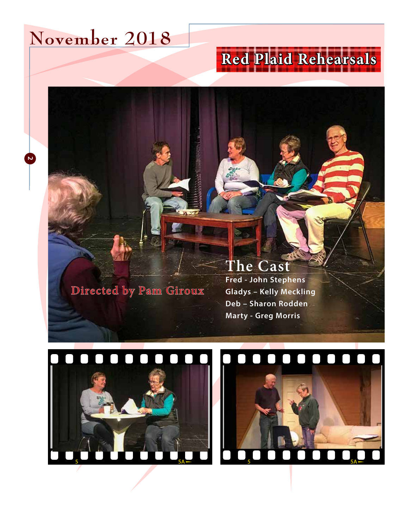# **November 2018**

**2**

# **Red Plaid Rehearsals**

**Directed by Pam Giroux**

#### **The Cast**

**Fred - John Stephens Gladys – Kelly Meckling Deb – Sharon Rodden Marty - Greg Morris**



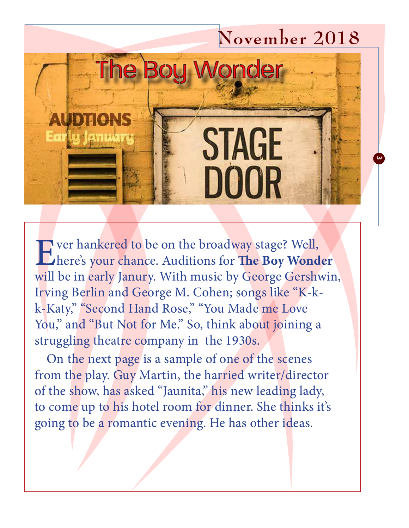# **November 2018 The Bou Wonder STAGE DOOR**

**3**

Ever hankered to be on the broadway stage? Well,<br>there's your chance. Auditions for The Boy Wond here's your chance. Auditions for **The Boy Wonder**  will be in early Janury. With music by George Gershwin, Irving Berlin and George M. Cohen; songs like "K-kk-Katy," "Second Hand Rose," "You Made me Love You," and "But Not for Me." So, think about joining a struggling theatre company in the 1930s.

On the next page is a sample of one of the scenes from the play. Guy Martin, the harried writer/director of the show, has asked "Jaunita," his new leading lady, to come up to his hotel room for dinner. She thinks it's going to be a romantic evening. He has other ideas.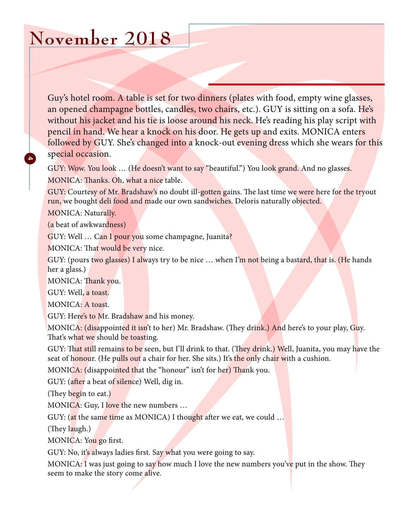# **November 2018**

Guy's hotel room. A table is set for two dinners (plates with food, empty wine glasses, an opened champagne bottles, candles, two chairs, etc.). GUY is sitting on a sofa. He's without his jacket and his tie is loose around his neck. He's reading his play script with pencil in hand. We hear a knock on his door. He gets up and exits. MONICA enters followed by GUY. She's changed into a knock-out evening dress which she wears for this special occasion.

GUY: Wow. You look ... (He doesn't want to say "beautiful.") You look grand. And no glasses. MONICA: Thanks. Oh, what a nice table.

GUY: Courtesy of Mr. Bradshaw's no doubt ill-gotten gains. The last time we were here for the tryout run, we bought deli food and made our own sandwiches. Deloris naturally objected.

MONICA: Naturally.

**4**

(a beat of awkwardness)

GUY: Well … Can I pour you some champagne, Juanita?

MONICA: That would be very nice.

GUY: (pours two glasses) I always try to be nice ... when I'm not being a bastard, that is. (He hands her a glass.)

MONICA: Thank you.

GUY: Well, a toast.

MONICA: A toast.

GUY: Here's to Mr. Bradshaw and his money.

MONICA: (disappointed it isn't to her) Mr. Bradshaw. (They drink.) And here's to your play, Guy. That's what we should be toasting.

GUY: That still remains to be seen, but I'll drink to that. (They drink.) Well, Juanita, you may have the seat of honour. (He pulls out a chair for her. She sits.) It's the only chair with a cushion.

MONICA: (disappointed that the "honour" isn't for her) Thank you.

GUY: (after a beat of silence) Well, dig in.

(They begin to eat.)

MONICA: Guy, I love the new numbers  $\dots$ 

GUY: (at the same time as MONICA) I thought after we eat, we could ...

(They laugh.)

MONICA: You go first.

GUY: No, it's always ladies first. Say what you were going to say.

MONICA: I was just going to say how much I love the new numbers you've put in the show. They seem to make the story come alive.